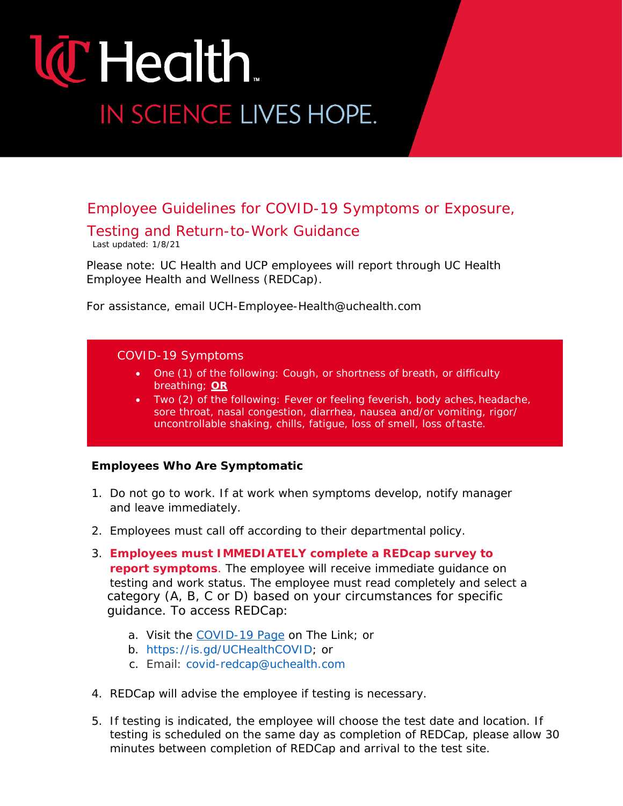# **W** Health. IN SCIENCE LIVES HOPE.

### Employee Guidelines for COVID-19 Symptoms or Exposure,

### Testing and Return-to-Work Guidance

Last updated: 1/8/21

*Please note: UC Health and UCP employees will report through UC Health Employee Health and Wellness (REDCap).*

*For assistance, email [UCH-Employee-Health@uchealth.com](mailto:UCH-Employee-Health@uchealth.com)*

#### COVID-19 Symptoms

- One (1) of the following: Cough, or shortness of breath, or difficulty breathing; **OR**
- Two (2) of the following: Fever or feeling feverish, body aches, headache, sore throat, nasal congestion, diarrhea, nausea and/or vomiting, rigor/ uncontrollable shaking, chills, fatigue, loss of smell, loss of taste.

#### **Employees Who Are Symptomatic**

- 1. Do not go to work. If at work when symptoms develop, notify manager and leave immediately.
- 2. Employees must call off according to their departmental policy.
- category (A, B, C or D) based on your circumstances for specific To access REDCap: guidance. To access REDCap: 3. **Employees must IMMEDIATELY complete a REDcap survey to report symptoms**. The employee will receive immediate guidance on testing and work status. The employee must read completely and select a
	- a. Visit the COVID-19 Page on The Link; or
	- b. [https://is.gd/UCHealthCOVID; o](https://is.gd/UCHealthCOVID)r
	- c. [Email: covid-redcap@uchealth.com](mailto:covid-redcap@uchealth.com4.REDCap)
- 4. [REDCap will advise the employee if testing i](mailto:covid-redcap@uchealth.com4.REDCap)s necessary.
- 5. If testing is indicated, the employee will choose the test date and location. If testing is scheduled on the same day as completion of REDCap, please allow 30 minutes between completion of REDCap and arrival to the test site.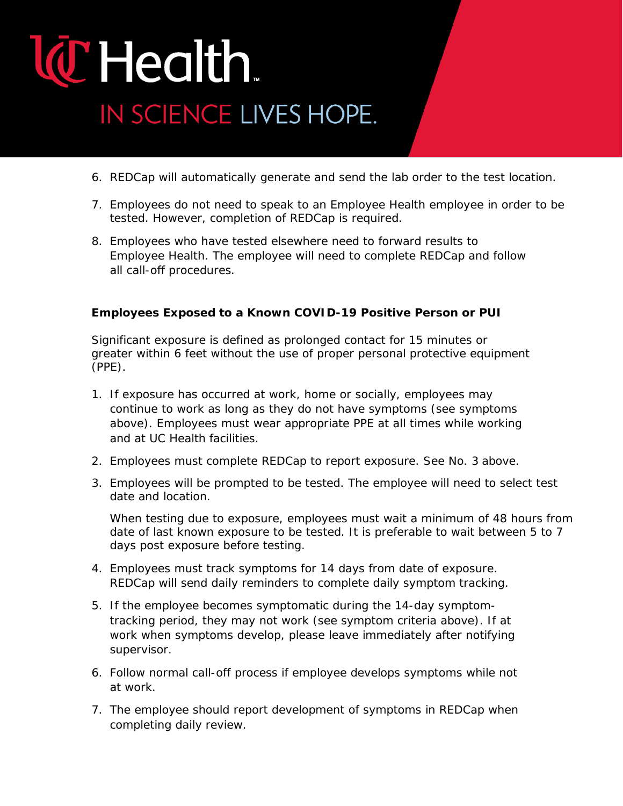# **W** Health. IN SCIENCE LIVES HOPE.

- 6. REDCap will automatically generate and send the lab order to the test location.
- 7. Employees do not need to speak to an Employee Health employee in order to be tested. However, completion of REDCap is required.
- 8. Employees who have tested elsewhere need to forward results to Employee Health. The employee will need to complete REDCap and follow all call-off procedures.

### **Employees Exposed to a Known COVID-19 Positive Person or PUI**

Significant exposure is defined as prolonged contact for 15 minutes or greater within 6 feet without the use of proper personal protective equipment (PPE).

- 1. If exposure has occurred at work, home or socially, employees may continue to work as long as they do not have symptoms (see symptoms above). Employees must wear appropriate PPE at all times while working and at UC Health facilities.
- 2. Employees must complete REDCap to report exposure. See No. 3 above.
- 3. Employees will be prompted to be tested. The employee will need to select test date and location.

When testing due to exposure, employees must wait a minimum of 48 hours from date of last known exposure to be tested. It is preferable to wait between 5 to 7 days post exposure before testing.

- 4. Employees must track symptoms for 14 days from date of exposure. REDCap will send daily reminders to complete daily symptom tracking.
- 5. If the employee becomes symptomatic during the 14-day symptomtracking period, they may not work (see symptom criteria above). If at work when symptoms develop, please leave immediately after notifying supervisor.
- 6. Follow normal call-off process if employee develops symptoms while not at work.
- 7. The employee should report development of symptoms in REDCap when completing daily review.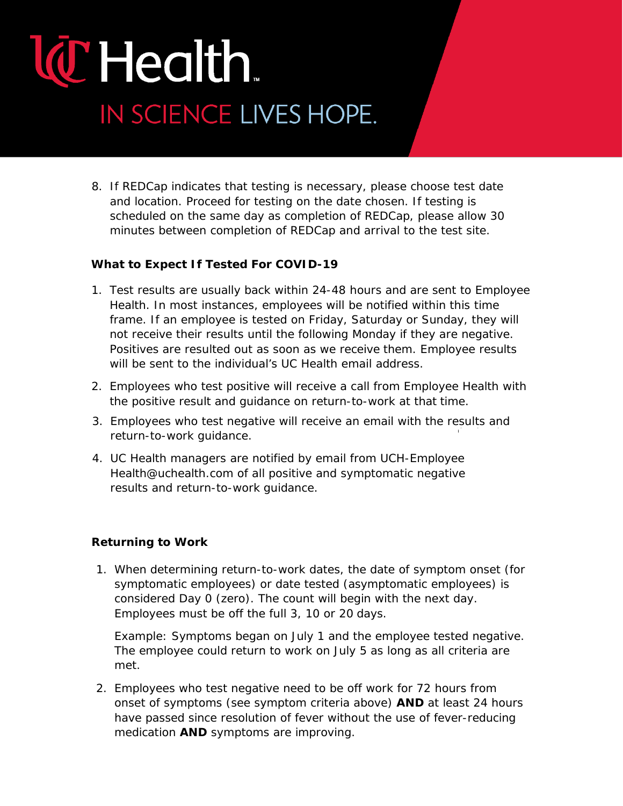# **T** Health. IN SCIENCE LIVES HOPE.

8. If REDCap indicates that testing is necessary, please choose test date and location. Proceed for testing on the date chosen. If testing is scheduled on the same day as completion of REDCap, please allow 30 minutes between completion of REDCap and arrival to the test site.

### **What to Expect If Tested For COVID-19**

- 1. Test results are usually back within 24-48 hours and are sent to Employee Health. In most instances, employees will be notified within this time frame. If an employee is tested on Friday, Saturday or Sunday, they will *not* receive their results until the following Monday if they are negative. Positives are resulted out as soon as we receive them. Employee results will be sent to the individual's UC Health email address.
- 2. Employees who test positive will receive a call from Employee Health with the positive result and guidance on return-to-work at that time.
- Continued on next page. 3. Employees who test negative will receive an email with the results and return-to-work guidance.
- 4. [UC Health managers are notified by email from UCH-Employee](mailto:UCH-EmployeeHealth@uchealth.com) [Health@uchealth.com o](mailto:UCH-EmployeeHealth@uchealth.com)f all [positive and symptomatic negative](mailto:UCH-EmployeeHealth@uchealth.com) [results and return-to-work](mailto:UCH-EmployeeHealth@uchealth.com) guidance.

#### **Returning to Work**

1. When determining return-to-work dates, the date of symptom onset (for symptomatic employees) or date tested (asymptomatic employees) is considered Day 0 (zero). The count will begin with the next day. Employees must be off the full 3, 10 or 20 days.

*Example: Symptoms began on July 1 and the employee tested negative. The employee could return to work on July 5 as long as all criteria are met.*

2. Employees who test negative need to be off work for 72 hours from onset of symptoms (see symptom criteria above) **AND** at least 24 hours have passed since resolution of fever without the use of fever-reducing medication **AND** symptoms are improving.